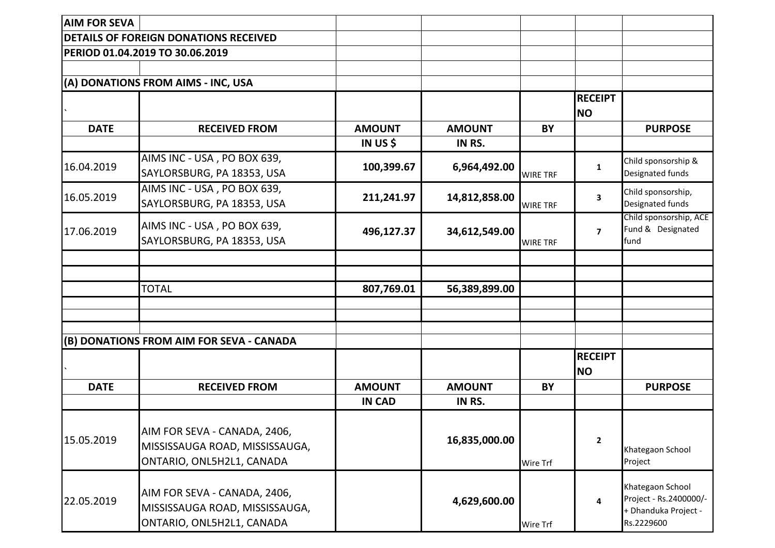| <b>AIM FOR SEVA</b> |                                                                                             |               |               |                 |                             |                                                                                  |
|---------------------|---------------------------------------------------------------------------------------------|---------------|---------------|-----------------|-----------------------------|----------------------------------------------------------------------------------|
|                     | <b>DETAILS OF FOREIGN DONATIONS RECEIVED</b>                                                |               |               |                 |                             |                                                                                  |
|                     | PERIOD 01.04.2019 TO 30.06.2019                                                             |               |               |                 |                             |                                                                                  |
|                     |                                                                                             |               |               |                 |                             |                                                                                  |
|                     | (A) DONATIONS FROM AIMS - INC, USA                                                          |               |               |                 |                             |                                                                                  |
|                     |                                                                                             |               |               |                 | <b>RECEIPT</b><br><b>NO</b> |                                                                                  |
| <b>DATE</b>         | <b>RECEIVED FROM</b>                                                                        | <b>AMOUNT</b> | <b>AMOUNT</b> | BY              |                             | <b>PURPOSE</b>                                                                   |
|                     |                                                                                             | IN US \$      | IN RS.        |                 |                             |                                                                                  |
| 16.04.2019          | AIMS INC - USA, PO BOX 639,<br>SAYLORSBURG, PA 18353, USA                                   | 100,399.67    | 6,964,492.00  | <b>WIRE TRF</b> | 1                           | Child sponsorship &<br>Designated funds                                          |
| 16.05.2019          | AIMS INC - USA, PO BOX 639,<br>SAYLORSBURG, PA 18353, USA                                   | 211,241.97    | 14,812,858.00 | <b>WIRE TRF</b> | $\overline{\mathbf{3}}$     | Child sponsorship,<br>Designated funds                                           |
| 17.06.2019          | AIMS INC - USA, PO BOX 639,<br>SAYLORSBURG, PA 18353, USA                                   | 496,127.37    | 34,612,549.00 | <b>WIRE TRF</b> | $\overline{\mathbf{z}}$     | Child sponsorship, ACE<br>Fund & Designated<br>fund                              |
|                     |                                                                                             |               |               |                 |                             |                                                                                  |
|                     |                                                                                             |               |               |                 |                             |                                                                                  |
|                     | <b>TOTAL</b>                                                                                | 807,769.01    | 56,389,899.00 |                 |                             |                                                                                  |
|                     |                                                                                             |               |               |                 |                             |                                                                                  |
|                     |                                                                                             |               |               |                 |                             |                                                                                  |
|                     | (B) DONATIONS FROM AIM FOR SEVA - CANADA                                                    |               |               |                 |                             |                                                                                  |
|                     |                                                                                             |               |               |                 | <b>RECEIPT</b><br><b>NO</b> |                                                                                  |
| <b>DATE</b>         | <b>RECEIVED FROM</b>                                                                        | <b>AMOUNT</b> | <b>AMOUNT</b> | BY              |                             | <b>PURPOSE</b>                                                                   |
|                     |                                                                                             | <b>IN CAD</b> | IN RS.        |                 |                             |                                                                                  |
| 15.05.2019          | AIM FOR SEVA - CANADA, 2406,<br>MISSISSAUGA ROAD, MISSISSAUGA,<br>ONTARIO, ONL5H2L1, CANADA |               | 16,835,000.00 | Wire Trf        | $\mathbf{2}$                | Khategaon School<br>Project                                                      |
| 22.05.2019          | AIM FOR SEVA - CANADA, 2406,<br>MISSISSAUGA ROAD, MISSISSAUGA,<br>ONTARIO, ONL5H2L1, CANADA |               | 4,629,600.00  | Wire Trf        | 4                           | Khategaon School<br>Project - Rs.2400000/-<br>+ Dhanduka Project -<br>Rs.2229600 |